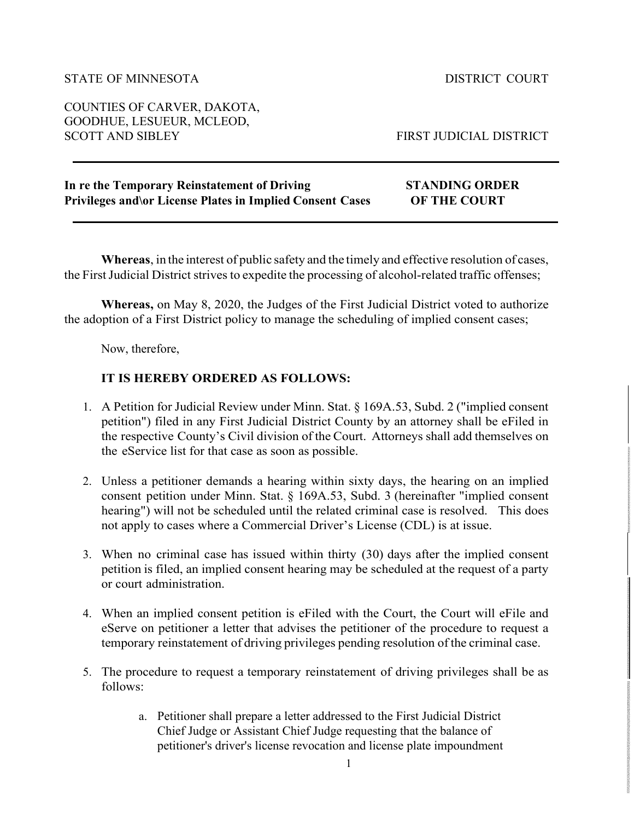## STATE OF MINNESOTA DISTRICT COURT

COUNTIES OF CARVER, DAKOTA, GOODHUE, LESUEUR, MCLEOD,

FIRST JUDICIAL DISTRICT

| In re the Temporary Reinstatement of Driving                      | <b>STANDING ORDER</b> |
|-------------------------------------------------------------------|-----------------------|
| <b>Privileges and \or License Plates in Implied Consent Cases</b> | <b>OF THE COURT</b>   |

**Whereas**, in the interest of public safety and the timely and effective resolution of cases, the First Judicial District strives to expedite the processing of alcohol-related traffic offenses;

**Whereas,** on May 8, 2020, the Judges of the First Judicial District voted to authorize the adoption of a First District policy to manage the scheduling of implied consent cases;

Now, therefore,

## **IT IS HEREBY ORDERED AS FOLLOWS:**

- 1. A Petition for Judicial Review under Minn. Stat. § 169A.53, Subd. 2 ("implied consent petition") filed in any First Judicial District County by an attorney shall be eFiled in the respective County's Civil division of the Court. Attorneys shall add themselves on the eService list for that case as soon as possible.
- 2. Unless a petitioner demands a hearing within sixty days, the hearing on an implied consent petition under Minn. Stat. § 169A.53, Subd. 3 (hereinafter "implied consent hearing") will not be scheduled until the related criminal case is resolved. This does not apply to cases where a Commercial Driver's License (CDL) is at issue.
- 3. When no criminal case has issued within thirty (30) days after the implied consent petition is filed, an implied consent hearing may be scheduled at the request of a party or court administration.
- 4. When an implied consent petition is eFiled with the Court, the Court will eFile and eServe on petitioner a letter that advises the petitioner of the procedure to request a temporary reinstatement of driving privileges pending resolution of the criminal case.
- 5. The procedure to request a temporary reinstatement of driving privileges shall be as follows:
	- a. Petitioner shall prepare a letter addressed to the First Judicial District Chief Judge or Assistant Chief Judge requesting that the balance of petitioner's driver's license revocation and license plate impoundment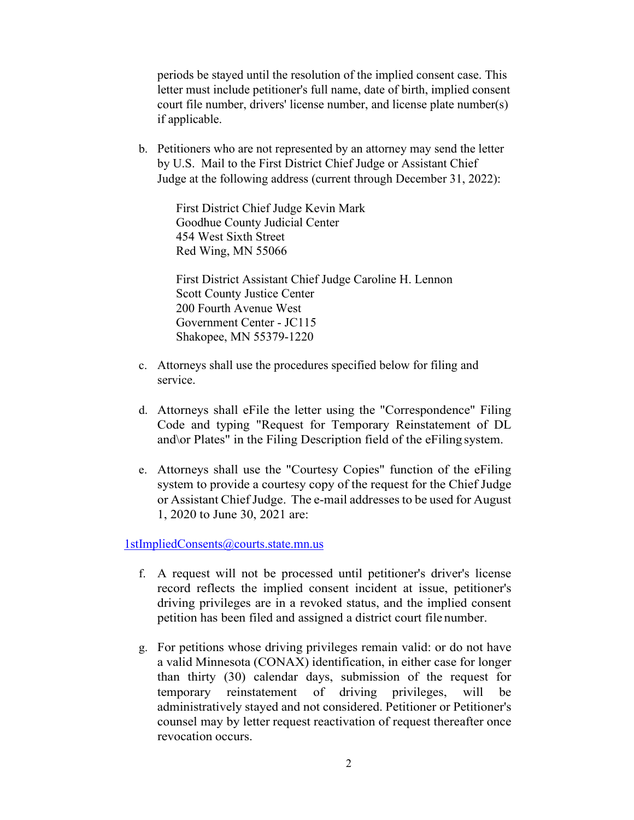periods be stayed until the resolution of the implied consent case. This letter must include petitioner's full name, date of birth, implied consent court file number, drivers' license number, and license plate number(s) if applicable.

b. Petitioners who are not represented by an attorney may send the letter by U.S. Mail to the First District Chief Judge or Assistant Chief Judge at the following address (current through December 31, 2022):

> First District Chief Judge Kevin Mark Goodhue County Judicial Center 454 West Sixth Street Red Wing, MN 55066

First District Assistant Chief Judge Caroline H. Lennon Scott County Justice Center 200 Fourth Avenue West Government Center - JC115 Shakopee, MN 55379-1220

- c. Attorneys shall use the procedures specified below for filing and service.
- d. Attorneys shall eFile the letter using the "Correspondence" Filing Code and typing "Request for Temporary Reinstatement of DL and\or Plates" in the Filing Description field of the eFiling system.
- e. Attorneys shall use the "Courtesy Copies" function of the eFiling system to provide a courtesy copy of the request for the Chief Judge or Assistant Chief Judge. The e-mail addresses to be used for August 1, 2020 to June 30, 2021 are:

[1stImpliedConsents@courts.state.mn.us](mailto:1stImpliedConsents@courts.state.mn.us)

- f. A request will not be processed until petitioner's driver's license record reflects the implied consent incident at issue, petitioner's driving privileges are in a revoked status, and the implied consent petition has been filed and assigned a district court file number.
- g. For petitions whose driving privileges remain valid: or do not have a valid Minnesota (CONAX) identification, in either case for longer than thirty (30) calendar days, submission of the request for temporary reinstatement of driving privileges, will be administratively stayed and not considered. Petitioner or Petitioner's counsel may by letter request reactivation of request thereafter once revocation occurs.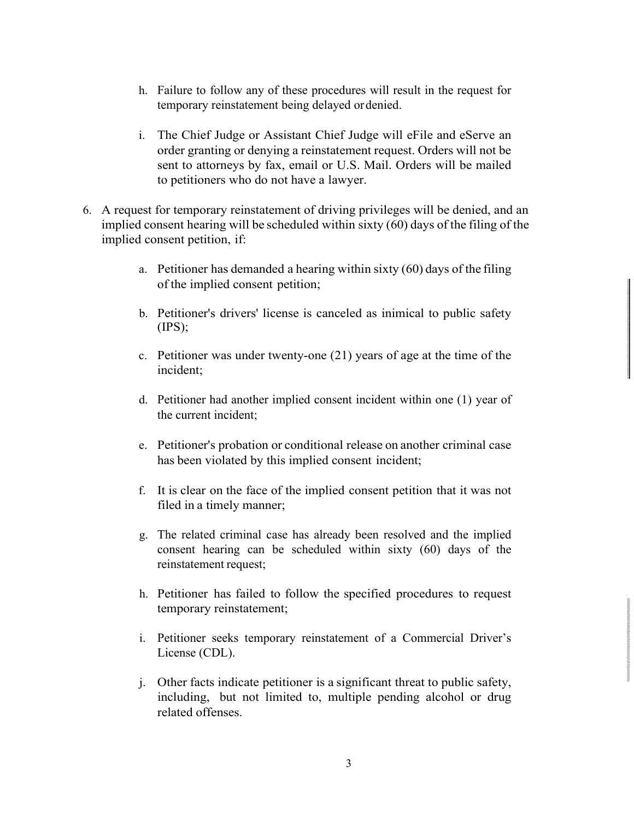- h. Failure to follow any of these procedures will result in the request for temporary reinstatement being delayed ordenied.
- i. The Chief Judge or Assistant Chief Judge will eFile and eServe an order granting or denying a reinstatement request. Orders will not be sent to attorneys by fax, email or U.S. Mail. Orders will be mailed to petitioners who do not have a lawyer.
- 6. A request for temporary reinstatement of driving privileges will be denied, and an implied consent hearing will be scheduled within sixty (60) days of the filing of the implied consent petition, if:
	- a. Petitioner has demanded a hearing within sixty (60) days of the filing of the implied consent petition;
	- b. Petitioner's drivers' license is canceled as inimical to public safety  $(IPS);$
	- c. Petitioner was under twenty-one (21) years of age at the time of the incident;
	- d. Petitioner had another implied consent incident within one (1) year of the current incident;
	- e. Petitioner's probation or conditional release on another criminal case has been violated by this implied consent incident;
	- f. It is clear on the face of the implied consent petition that it was not filed in a timely manner;
	- g. The related criminal case has already been resolved and the implied consent hearing can be scheduled within sixty (60) days of the reinstatement request;
	- h. Petitioner has failed to follow the specified procedures to request temporary reinstatement;
	- i. Petitioner seeks temporary reinstatement of a Commercial Driver's License (CDL).
	- j. Other facts indicate petitioner is a significant threat to public safety, including, but not limited to, multiple pending alcohol or drug related offenses.